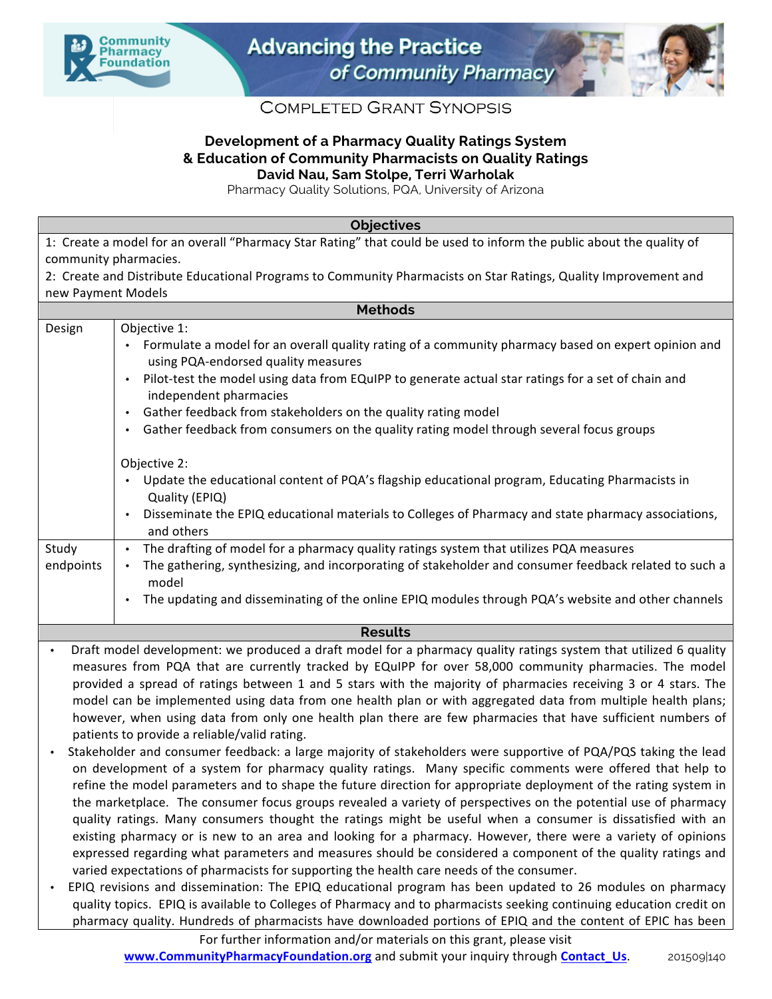



## **COMPLETED GRANT SYNOPSIS**

## **Development of a Pharmacy Quality Ratings System & Education of Community Pharmacists on Quality Ratings David Nau, Sam Stolpe, Terri Warholak**

Pharmacy Quality Solutions, PQA, University of Arizona

**Objectives**

1: Create a model for an overall "Pharmacy Star Rating" that could be used to inform the public about the quality of community pharmacies. 2: Create and Distribute Educational Programs to Community Pharmacists on Star Ratings, Quality Improvement and

| new Payment Models                                                                                                                                                                                                                                                                                                                                                                                                                                                                                                                                                                                                                                                                                                                                                                                                                                                                                                                                                                                                                                                                                                                                                                                                                                                                                                                                        |                                                                                                                                                                                                                                                                                                                                                                                                                                                                                                                                                                                                                |
|-----------------------------------------------------------------------------------------------------------------------------------------------------------------------------------------------------------------------------------------------------------------------------------------------------------------------------------------------------------------------------------------------------------------------------------------------------------------------------------------------------------------------------------------------------------------------------------------------------------------------------------------------------------------------------------------------------------------------------------------------------------------------------------------------------------------------------------------------------------------------------------------------------------------------------------------------------------------------------------------------------------------------------------------------------------------------------------------------------------------------------------------------------------------------------------------------------------------------------------------------------------------------------------------------------------------------------------------------------------|----------------------------------------------------------------------------------------------------------------------------------------------------------------------------------------------------------------------------------------------------------------------------------------------------------------------------------------------------------------------------------------------------------------------------------------------------------------------------------------------------------------------------------------------------------------------------------------------------------------|
| <b>Methods</b>                                                                                                                                                                                                                                                                                                                                                                                                                                                                                                                                                                                                                                                                                                                                                                                                                                                                                                                                                                                                                                                                                                                                                                                                                                                                                                                                            |                                                                                                                                                                                                                                                                                                                                                                                                                                                                                                                                                                                                                |
| Design                                                                                                                                                                                                                                                                                                                                                                                                                                                                                                                                                                                                                                                                                                                                                                                                                                                                                                                                                                                                                                                                                                                                                                                                                                                                                                                                                    | Objective 1:<br>Formulate a model for an overall quality rating of a community pharmacy based on expert opinion and<br>using PQA-endorsed quality measures<br>Pilot-test the model using data from EQuIPP to generate actual star ratings for a set of chain and<br>$\bullet$<br>independent pharmacies<br>Gather feedback from stakeholders on the quality rating model<br>$\bullet$<br>Gather feedback from consumers on the quality rating model through several focus groups<br>$\bullet$                                                                                                                  |
| Study<br>endpoints                                                                                                                                                                                                                                                                                                                                                                                                                                                                                                                                                                                                                                                                                                                                                                                                                                                                                                                                                                                                                                                                                                                                                                                                                                                                                                                                        | Objective 2:<br>Update the educational content of PQA's flagship educational program, Educating Pharmacists in<br>$\bullet$<br>Quality (EPIQ)<br>Disseminate the EPIQ educational materials to Colleges of Pharmacy and state pharmacy associations,<br>$\bullet$<br>and others<br>The drafting of model for a pharmacy quality ratings system that utilizes PQA measures<br>$\bullet$<br>The gathering, synthesizing, and incorporating of stakeholder and consumer feedback related to such a<br>model<br>The updating and disseminating of the online EPIQ modules through PQA's website and other channels |
| <b>Results</b>                                                                                                                                                                                                                                                                                                                                                                                                                                                                                                                                                                                                                                                                                                                                                                                                                                                                                                                                                                                                                                                                                                                                                                                                                                                                                                                                            |                                                                                                                                                                                                                                                                                                                                                                                                                                                                                                                                                                                                                |
| Draft model development: we produced a draft model for a pharmacy quality ratings system that utilized 6 quality<br>$\bullet$<br>measures from PQA that are currently tracked by EQuIPP for over 58,000 community pharmacies. The model<br>provided a spread of ratings between 1 and 5 stars with the majority of pharmacies receiving 3 or 4 stars. The<br>model can be implemented using data from one health plan or with aggregated data from multiple health plans;<br>however, when using data from only one health plan there are few pharmacies that have sufficient numbers of<br>patients to provide a reliable/valid rating.<br>Stakeholder and consumer feedback: a large majority of stakeholders were supportive of PQA/PQS taking the lead<br>$\bullet$<br>on development of a system for pharmacy quality ratings. Many specific comments were offered that help to<br>refine the model parameters and to shape the future direction for appropriate deployment of the rating system in<br>the marketplace. The consumer focus groups revealed a variety of perspectives on the potential use of pharmacy<br>quality ratings. Many consumers thought the ratings might be useful when a consumer is dissatisfied with an<br>existing pharmacy or is new to an area and looking for a pharmacy. However, there were a variety of oninions |                                                                                                                                                                                                                                                                                                                                                                                                                                                                                                                                                                                                                |

- existing pharmacy or is new to an area and looking for a pharmacy. However, there were a variety of opinions expressed regarding what parameters and measures should be considered a component of the quality ratings and varied expectations of pharmacists for supporting the health care needs of the consumer. EPIQ revisions and dissemination: The EPIQ educational program has been updated to 26 modules on pharmacy
- quality topics. EPIQ is available to Colleges of Pharmacy and to pharmacists seeking continuing education credit on pharmacy quality. Hundreds of pharmacists have downloaded portions of EPIQ and the content of EPIC has been